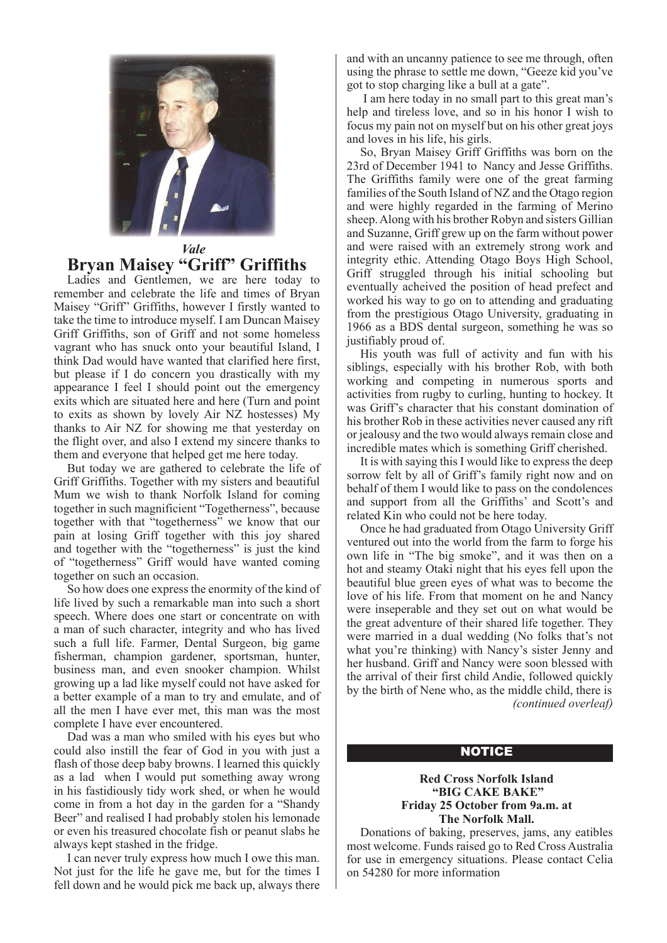

### *Vale* **Bryan Maisey "Griff" Griffiths**

Ladies and Gentlemen, we are here today to remember and celebrate the life and times of Bryan Maisey "Griff" Griffiths, however I firstly wanted to take the time to introduce myself. I am Duncan Maisey Griff Griffiths, son of Griff and not some homeless vagrant who has snuck onto your beautiful Island, I think Dad would have wanted that clarified here first, but please if I do concern you drastically with my appearance I feel I should point out the emergency exits which are situated here and here (Turn and point to exits as shown by lovely Air NZ hostesses) My thanks to Air NZ for showing me that yesterday on the flight over, and also I extend my sincere thanks to them and everyone that helped get me here today.

But today we are gathered to celebrate the life of Griff Griffiths. Together with my sisters and beautiful Mum we wish to thank Norfolk Island for coming together in such magnificient "Togetherness", because together with that "togetherness" we know that our pain at losing Griff together with this joy shared and together with the "togetherness" is just the kind of "togetherness" Griff would have wanted coming together on such an occasion.

So how does one express the enormity of the kind of life lived by such a remarkable man into such a short speech. Where does one start or concentrate on with a man of such character, integrity and who has lived such a full life. Farmer, Dental Surgeon, big game fisherman, champion gardener, sportsman, hunter, business man, and even snooker champion. Whilst growing up a lad like myself could not have asked for a better example of a man to try and emulate, and of all the men I have ever met, this man was the most complete I have ever encountered.

Dad was a man who smiled with his eyes but who could also instill the fear of God in you with just a flash of those deep baby browns. I learned this quickly as a lad when I would put something away wrong in his fastidiously tidy work shed, or when he would come in from a hot day in the garden for a "Shandy Beer" and realised I had probably stolen his lemonade or even his treasured chocolate fish or peanut slabs he always kept stashed in the fridge.

I can never truly express how much I owe this man. Not just for the life he gave me, but for the times I fell down and he would pick me back up, always there

and with an uncanny patience to see me through, often using the phrase to settle me down, "Geeze kid you've got to stop charging like a bull at a gate".

 I am here today in no small part to this great man's help and tireless love, and so in his honor I wish to focus my pain not on myself but on his other great joys and loves in his life, his girls.

So, Bryan Maisey Griff Griffiths was born on the 23rd of December 1941 to Nancy and Jesse Griffiths. The Griffiths family were one of the great farming families of the South Island of NZ and the Otago region and were highly regarded in the farming of Merino sheep. Along with his brother Robyn and sisters Gillian and Suzanne, Griff grew up on the farm without power and were raised with an extremely strong work and integrity ethic. Attending Otago Boys High School, Griff struggled through his initial schooling but eventually acheived the position of head prefect and worked his way to go on to attending and graduating from the prestigious Otago University, graduating in 1966 as a BDS dental surgeon, something he was so justifiably proud of.

His youth was full of activity and fun with his siblings, especially with his brother Rob, with both working and competing in numerous sports and activities from rugby to curling, hunting to hockey. It was Griff's character that his constant domination of his brother Rob in these activities never caused any rift or jealousy and the two would always remain close and incredible mates which is something Griff cherished.

It is with saying this I would like to express the deep sorrow felt by all of Griff's family right now and on behalf of them I would like to pass on the condolences and support from all the Griffiths' and Scott's and related Kin who could not be here today.

Once he had graduated from Otago University Griff ventured out into the world from the farm to forge his own life in "The big smoke", and it was then on a hot and steamy Otaki night that his eyes fell upon the beautiful blue green eyes of what was to become the love of his life. From that moment on he and Nancy were inseperable and they set out on what would be the great adventure of their shared life together. They were married in a dual wedding (No folks that's not what you're thinking) with Nancy's sister Jenny and her husband. Griff and Nancy were soon blessed with the arrival of their first child Andie, followed quickly by the birth of Nene who, as the middle child, there is *(continued overleaf)*

#### **NOTICE**

#### **Red Cross Norfolk Island "BIG CAKE BAKE" Friday 25 October from 9a.m. at The Norfolk Mall.**

Donations of baking, preserves, jams, any eatibles most welcome. Funds raised go to Red Cross Australia for use in emergency situations. Please contact Celia on 54280 for more information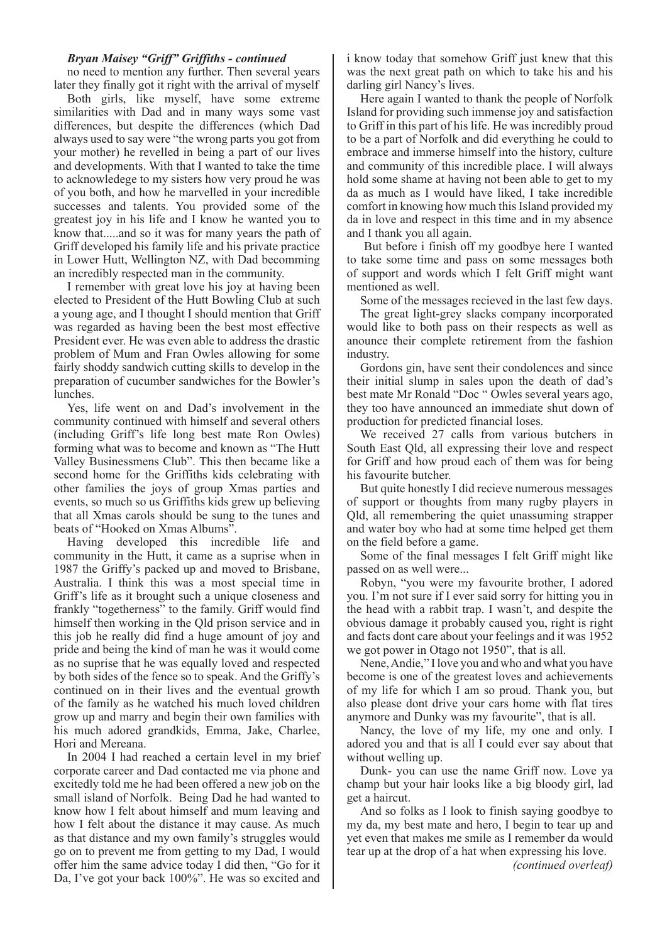#### *Bryan Maisey "Griff" Griffiths - continued*

no need to mention any further. Then several years later they finally got it right with the arrival of myself

Both girls, like myself, have some extreme similarities with Dad and in many ways some vast differences, but despite the differences (which Dad always used to say were "the wrong parts you got from your mother) he revelled in being a part of our lives and developments. With that I wanted to take the time to acknowledege to my sisters how very proud he was of you both, and how he marvelled in your incredible successes and talents. You provided some of the greatest joy in his life and I know he wanted you to know that.....and so it was for many years the path of Griff developed his family life and his private practice in Lower Hutt, Wellington NZ, with Dad becomming an incredibly respected man in the community.

I remember with great love his joy at having been elected to President of the Hutt Bowling Club at such a young age, and I thought I should mention that Griff was regarded as having been the best most effective President ever. He was even able to address the drastic problem of Mum and Fran Owles allowing for some fairly shoddy sandwich cutting skills to develop in the preparation of cucumber sandwiches for the Bowler's lunches.

Yes, life went on and Dad's involvement in the community continued with himself and several others (including Griff's life long best mate Ron Owles) forming what was to become and known as "The Hutt Valley Businessmens Club". This then became like a second home for the Griffiths kids celebrating with other families the joys of group Xmas parties and events, so much so us Griffiths kids grew up believing that all Xmas carols should be sung to the tunes and beats of "Hooked on Xmas Albums".

Having developed this incredible life and community in the Hutt, it came as a suprise when in 1987 the Griffy's packed up and moved to Brisbane, Australia. I think this was a most special time in Griff's life as it brought such a unique closeness and frankly "togetherness" to the family. Griff would find himself then working in the Qld prison service and in this job he really did find a huge amount of joy and pride and being the kind of man he was it would come as no suprise that he was equally loved and respected by both sides of the fence so to speak. And the Griffy's continued on in their lives and the eventual growth of the family as he watched his much loved children grow up and marry and begin their own families with his much adored grandkids, Emma, Jake, Charlee, Hori and Mereana.

In 2004 I had reached a certain level in my brief corporate career and Dad contacted me via phone and excitedly told me he had been offered a new job on the small island of Norfolk. Being Dad he had wanted to know how I felt about himself and mum leaving and how I felt about the distance it may cause. As much as that distance and my own family's struggles would go on to prevent me from getting to my Dad, I would offer him the same advice today I did then, "Go for it Da, I've got your back 100%". He was so excited and

i know today that somehow Griff just knew that this was the next great path on which to take his and his darling girl Nancy's lives.

Here again I wanted to thank the people of Norfolk Island for providing such immense joy and satisfaction to Griff in this part of his life. He was incredibly proud to be a part of Norfolk and did everything he could to embrace and immerse himself into the history, culture and community of this incredible place. I will always hold some shame at having not been able to get to my da as much as I would have liked, I take incredible comfort in knowing how much this Island provided my da in love and respect in this time and in my absence and I thank you all again.

 But before i finish off my goodbye here I wanted to take some time and pass on some messages both of support and words which I felt Griff might want mentioned as well.

Some of the messages recieved in the last few days.

The great light-grey slacks company incorporated would like to both pass on their respects as well as anounce their complete retirement from the fashion industry.

Gordons gin, have sent their condolences and since their initial slump in sales upon the death of dad's best mate Mr Ronald "Doc " Owles several years ago, they too have announced an immediate shut down of production for predicted financial loses.

We received 27 calls from various butchers in South East Qld, all expressing their love and respect for Griff and how proud each of them was for being his favourite butcher.

But quite honestly I did recieve numerous messages of support or thoughts from many rugby players in Qld, all remembering the quiet unassuming strapper and water boy who had at some time helped get them on the field before a game.

Some of the final messages I felt Griff might like passed on as well were...

Robyn, "you were my favourite brother, I adored you. I'm not sure if I ever said sorry for hitting you in the head with a rabbit trap. I wasn't, and despite the obvious damage it probably caused you, right is right and facts dont care about your feelings and it was 1952 we got power in Otago not 1950", that is all.

Nene, Andie," I love you and who and what you have become is one of the greatest loves and achievements of my life for which I am so proud. Thank you, but also please dont drive your cars home with flat tires anymore and Dunky was my favourite", that is all.

Nancy, the love of my life, my one and only. I adored you and that is all I could ever say about that without welling up.

Dunk- you can use the name Griff now. Love ya champ but your hair looks like a big bloody girl, lad get a haircut.

And so folks as I look to finish saying goodbye to my da, my best mate and hero, I begin to tear up and yet even that makes me smile as I remember da would tear up at the drop of a hat when expressing his love.

*(continued overleaf)*